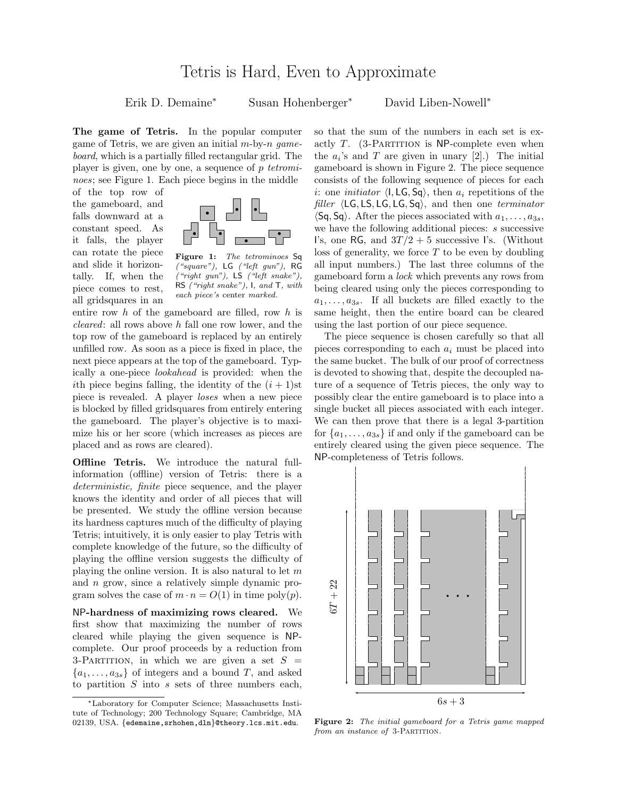## Tetris is Hard, Even to Approximate

Erik D. Demaine<sup>∗</sup> Susan Hohenberger<sup>∗</sup> David Liben-Nowell<sup>∗</sup>

The game of Tetris. In the popular computer game of Tetris, we are given an initial  $m$ -by- $n$  gameboard, which is a partially filled rectangular grid. The player is given, one by one, a sequence of p tetrominoes; see Figure 1. Each piece begins in the middle

of the top row of the gameboard, and falls downward at a constant speed. As it falls, the player can rotate the piece and slide it horizontally. If, when the piece comes to rest, all gridsquares in an



Figure 1: The tetrominoes Sq  $("square")$ , LG  $("left gun")$ , RG  $("right gun"),$  LS  $("left snake")$ RS ("right snake"), I, and T, with each piece's center marked.

entire row h of the gameboard are filled, row h is cleared: all rows above h fall one row lower, and the top row of the gameboard is replaced by an entirely unfilled row. As soon as a piece is fixed in place, the next piece appears at the top of the gameboard. Typically a one-piece lookahead is provided: when the ith piece begins falling, the identity of the  $(i + 1)$ st piece is revealed. A player loses when a new piece is blocked by filled gridsquares from entirely entering the gameboard. The player's objective is to maximize his or her score (which increases as pieces are placed and as rows are cleared).

**Offline Tetris.** We introduce the natural fullinformation (offline) version of Tetris: there is a deterministic, finite piece sequence, and the player knows the identity and order of all pieces that will be presented. We study the offline version because its hardness captures much of the difficulty of playing Tetris; intuitively, it is only easier to play Tetris with complete knowledge of the future, so the difficulty of playing the offline version suggests the difficulty of playing the online version. It is also natural to let  $m$ and n grow, since a relatively simple dynamic program solves the case of  $m \cdot n = O(1)$  in time poly $(p)$ .

NP-hardness of maximizing rows cleared. We first show that maximizing the number of rows cleared while playing the given sequence is NPcomplete. Our proof proceeds by a reduction from 3-PARTITION, in which we are given a set  $S =$  ${a_1, \ldots, a_{3s}}$  of integers and a bound T, and asked to partition  $S$  into  $s$  sets of three numbers each, so that the sum of the numbers in each set is exactly  $T.$  (3-PARTITION is NP-complete even when the  $a_i$ 's and T are given in unary [2].) The initial gameboard is shown in Figure 2. The piece sequence consists of the following sequence of pieces for each i: one *initiator*  $\langle I, LG, Sq \rangle$ , then  $a_i$  repetitions of the *filler*  $\langle \text{LG}, \text{LS}, \text{LG}, \text{LG}, \text{Sq} \rangle$ , and then one *terminator*  $\langle$ Sq, Sq $\rangle$ . After the pieces associated with  $a_1, \ldots, a_{3s}$ , we have the following additional pieces: s successive I's, one RG, and  $3T/2 + 5$  successive I's. (Without loss of generality, we force  $T$  to be even by doubling all input numbers.) The last three columns of the gameboard form a lock which prevents any rows from being cleared using only the pieces corresponding to  $a_1, \ldots, a_{3s}$ . If all buckets are filled exactly to the same height, then the entire board can be cleared using the last portion of our piece sequence.

The piece sequence is chosen carefully so that all pieces corresponding to each  $a_i$  must be placed into the same bucket. The bulk of our proof of correctness is devoted to showing that, despite the decoupled nature of a sequence of Tetris pieces, the only way to possibly clear the entire gameboard is to place into a single bucket all pieces associated with each integer. We can then prove that there is a legal 3-partition for  $\{a_1, \ldots, a_{3s}\}\$ if and only if the gameboard can be entirely cleared using the given piece sequence. The NP-completeness of Tetris follows.



Figure 2: The initial gameboard for a Tetris game mapped from an instance of 3-PARTITION.

<sup>∗</sup>Laboratory for Computer Science; Massachusetts Institute of Technology; 200 Technology Square; Cambridge, MA 02139, USA. {edemaine,srhohen,dln}@theory.lcs.mit.edu.